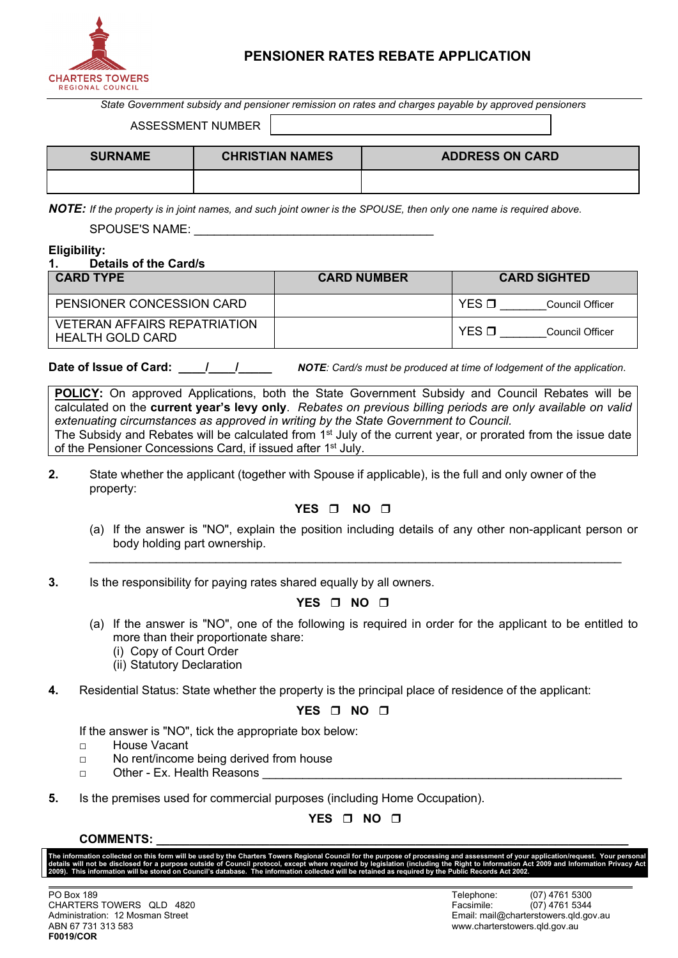

# **PENSIONER RATES REBATE APPLICATION**

*State Government subsidy and pensioner remission on rates and charges payable by approved pensioners*

ASSESSMENT NUMBER

| <b>SURNAME</b> | <b>CHRISTIAN NAMES</b> | <b>ADDRESS ON CARD</b> |
|----------------|------------------------|------------------------|
|                |                        |                        |

*NOTE: If the property is in joint names, and such joint owner is the SPOUSE, then only one name is required above.*

SPOUSE'S NAME:

**Eligibility:**

#### **1. Details of the Card/s**

property:

| <b>CARD TYPE</b>                                        | <b>CARD NUMBER</b> | <b>CARD SIGHTED</b>            |
|---------------------------------------------------------|--------------------|--------------------------------|
| PENSIONER CONCESSION CARD                               |                    | $YES$ $\Pi$<br>Council Officer |
| <b>VETERAN AFFAIRS REPATRIATION</b><br>HEALTH GOLD CARD |                    | YES (<br>Council Officer       |

**Date of Issue of Card:**  $\frac{1}{1}$   $\frac{1}{1}$  *NOTE*: Card/s must be produced at time of lodgement of the application.

**POLICY:** On approved Applications, both the State Government Subsidy and Council Rebates will be calculated on the **current year's levy only**. *Rebates on previous billing periods are only available on valid extenuating circumstances as approved in writing by the State Government to Council.* The Subsidy and Rebates will be calculated from 1<sup>st</sup> July of the current year, or prorated from the issue date of the Pensioner Concessions Card, if issued after 1<sup>st</sup> July.

**2.** State whether the applicant (together with Spouse if applicable), is the full and only owner of the

### YES  $\Box$  NO  $\Box$

(a) If the answer is "NO", explain the position including details of any other non-applicant person or body holding part ownership.

 $\_$  , and the set of the set of the set of the set of the set of the set of the set of the set of the set of the set of the set of the set of the set of the set of the set of the set of the set of the set of the set of th

**3.** Is the responsibility for paying rates shared equally by all owners.

## **YES □ NO □**

- (a) If the answer is "NO", one of the following is required in order for the applicant to be entitled to more than their proportionate share:
	- (i) Copy of Court Order
	- (ii) Statutory Declaration
- **4.** Residential Status: State whether the property is the principal place of residence of the applicant:

## **YES**  $\Box$  **NO**  $\Box$

If the answer is "NO", tick the appropriate box below:

- □ House Vacant
- □ No rent/income being derived from house
- □ Other Ex. Health Reasons
- **5.** Is the premises used for commercial purposes (including Home Occupation).

# **YES □ NO □**

### COMMENTS:

The information collected on this form will be used by the Charters Towers Regional Council for the purpose of processing and assessment of your application/request. Your persona<br>details will not be disclosed for a purpose details with the charters will be disclosed for a purpose outside of Council protocol, except where required by legislation (including the Right to Information Act 2009) and Information Act 2009 and Information Private **Pr 2009). This information will be stored on Council's database. The information collected will be retained as required by the Public Records Act 2002.**